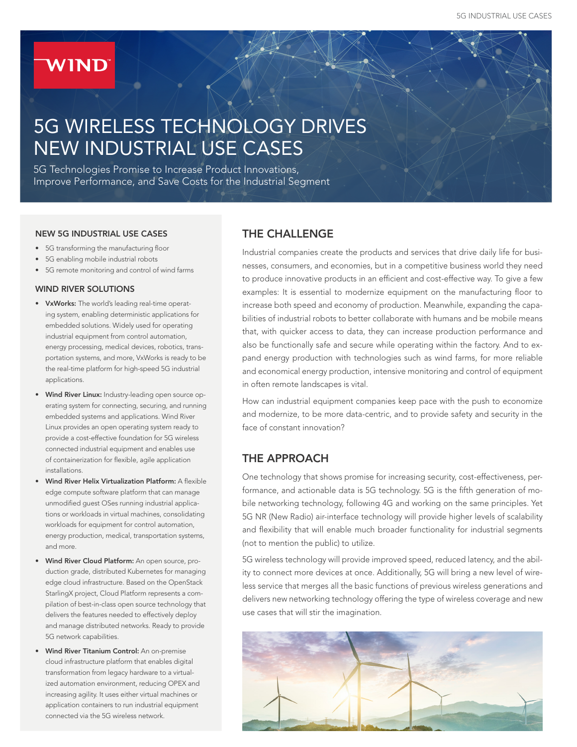# **WIND**

# 5G WIRELESS TECHNOLOGY DRIVES NEW INDUSTRIAL USE CASES

5G Technologies Promise to Increase Product Innovations, Improve Performance, and Save Costs for the Industrial Segment

#### NEW 5G INDUSTRIAL USE CASES

- 5G transforming the manufacturing floor
- 5G enabling mobile industrial robots
- 5G remote monitoring and control of wind farms

#### WIND RIVER SOLUTIONS

- VxWorks: The world's leading real-time operating system, enabling deterministic applications for embedded solutions. Widely used for operating industrial equipment from control automation, energy processing, medical devices, robotics, transportation systems, and more, VxWorks is ready to be the real-time platform for high-speed 5G industrial applications.
- Wind River Linux: Industry-leading open source operating system for connecting, securing, and running embedded systems and applications. Wind River Linux provides an open operating system ready to provide a cost-effective foundation for 5G wireless connected industrial equipment and enables use of containerization for flexible, agile application installations.
- Wind River Helix Virtualization Platform: A flexible edge compute software platform that can manage unmodified guest OSes running industrial applications or workloads in virtual machines, consolidating workloads for equipment for control automation, energy production, medical, transportation systems, and more.
- Wind River Cloud Platform: An open source, production grade, distributed Kubernetes for managing edge cloud infrastructure. Based on the OpenStack StarlingX project, Cloud Platform represents a compilation of best-in-class open source technology that delivers the features needed to effectively deploy and manage distributed networks. Ready to provide 5G network capabilities.
- Wind River Titanium Control: An on-premise cloud infrastructure platform that enables digital transformation from legacy hardware to a virtualized automation environment, reducing OPEX and increasing agility. It uses either virtual machines or application containers to run industrial equipment connected via the 5G wireless network.

# THE CHALLENGE

Industrial companies create the products and services that drive daily life for businesses, consumers, and economies, but in a competitive business world they need to produce innovative products in an efficient and cost-effective way. To give a few examples: It is essential to modernize equipment on the manufacturing floor to increase both speed and economy of production. Meanwhile, expanding the capabilities of industrial robots to better collaborate with humans and be mobile means that, with quicker access to data, they can increase production performance and also be functionally safe and secure while operating within the factory. And to expand energy production with technologies such as wind farms, for more reliable and economical energy production, intensive monitoring and control of equipment in often remote landscapes is vital.

How can industrial equipment companies keep pace with the push to economize and modernize, to be more data-centric, and to provide safety and security in the face of constant innovation?

# THE APPROACH

One technology that shows promise for increasing security, cost-effectiveness, performance, and actionable data is 5G technology. 5G is the fifth generation of mobile networking technology, following 4G and working on the same principles. Yet 5G NR (New Radio) air-interface technology will provide higher levels of scalability and flexibility that will enable much broader functionality for industrial segments (not to mention the public) to utilize.

5G wireless technology will provide improved speed, reduced latency, and the ability to connect more devices at once. Additionally, 5G will bring a new level of wireless service that merges all the basic functions of previous wireless generations and delivers new networking technology offering the type of wireless coverage and new use cases that will stir the imagination.

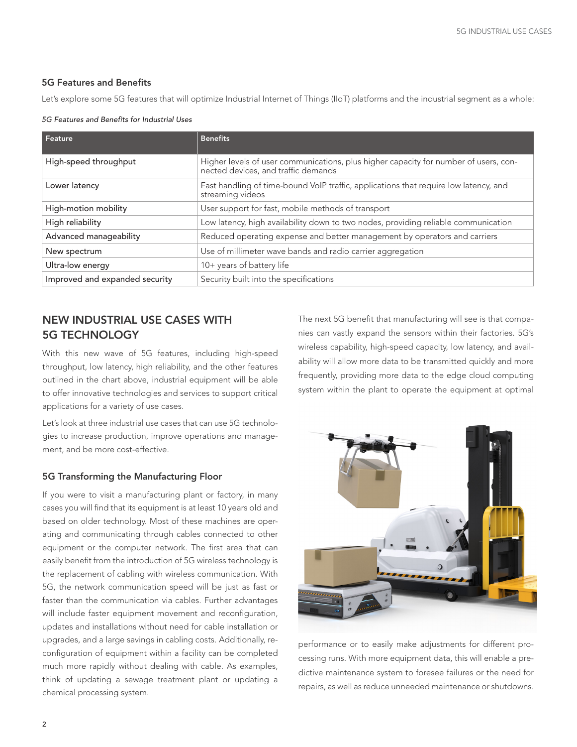#### 5G Features and Benefits

Let's explore some 5G features that will optimize Industrial Internet of Things (IIoT) platforms and the industrial segment as a whole:

#### *5G Features and Benefits for Industrial Uses*

| Feature                        | <b>Benefits</b>                                                                                                             |
|--------------------------------|-----------------------------------------------------------------------------------------------------------------------------|
| High-speed throughput          | Higher levels of user communications, plus higher capacity for number of users, con-<br>nected devices, and traffic demands |
| Lower latency                  | Fast handling of time-bound VoIP traffic, applications that require low latency, and<br>streaming videos                    |
| High-motion mobility           | User support for fast, mobile methods of transport                                                                          |
| High reliability               | Low latency, high availability down to two nodes, providing reliable communication                                          |
| Advanced manageability         | Reduced operating expense and better management by operators and carriers                                                   |
| New spectrum                   | Use of millimeter wave bands and radio carrier aggregation                                                                  |
| Ultra-low energy               | 10+ years of battery life                                                                                                   |
| Improved and expanded security | Security built into the specifications                                                                                      |

# NEW INDUSTRIAL USE CASES WITH 5G TECHNOLOGY

With this new wave of 5G features, including high-speed throughput, low latency, high reliability, and the other features outlined in the chart above, industrial equipment will be able to offer innovative technologies and services to support critical applications for a variety of use cases.

Let's look at three industrial use cases that can use 5G technologies to increase production, improve operations and management, and be more cost-effective.

### 5G Transforming the Manufacturing Floor

If you were to visit a manufacturing plant or factory, in many cases you will find that its equipment is at least 10 years old and based on older technology. Most of these machines are operating and communicating through cables connected to other equipment or the computer network. The first area that can easily benefit from the introduction of 5G wireless technology is the replacement of cabling with wireless communication. With 5G, the network communication speed will be just as fast or faster than the communication via cables. Further advantages will include faster equipment movement and reconfiguration, updates and installations without need for cable installation or upgrades, and a large savings in cabling costs. Additionally, reconfiguration of equipment within a facility can be completed much more rapidly without dealing with cable. As examples, think of updating a sewage treatment plant or updating a chemical processing system.

The next 5G benefit that manufacturing will see is that companies can vastly expand the sensors within their factories. 5G's wireless capability, high-speed capacity, low latency, and availability will allow more data to be transmitted quickly and more frequently, providing more data to the edge cloud computing system within the plant to operate the equipment at optimal



performance or to easily make adjustments for different processing runs. With more equipment data, this will enable a predictive maintenance system to foresee failures or the need for repairs, as well as reduce unneeded maintenance or shutdowns.